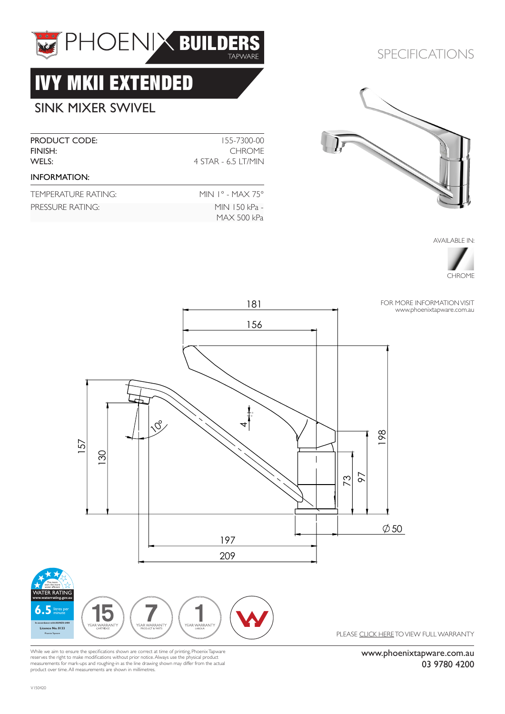

# IVY MKII EXTENDED

## SINK MIXER SWIVEL

| <b>PRODUCT CODE:</b><br>FINISH:<br>WELS: | 155-7300-00<br><b>CHROME</b><br>4 STAR - 6.5 LT/MIN |
|------------------------------------------|-----------------------------------------------------|
| <b>INFORMATION:</b>                      |                                                     |
| TEMPERATURE RATING:                      | MIN $1^{\circ}$ - MAX 75 $^{\circ}$                 |
| PRESSURE RATING:                         | MIN 150 kPa -<br>MAX 500 kPa                        |

### SPECIFICATIONS



AVAILABLE IN:





While we aim to ensure the specifications shown are correct at time of printing, Phoenix Tapware<br>reserves the right to make modifications without prior notice. Always use the physical product<br>measurements for mark-ups and product over time. All measurements are shown in millimetres.

www.phoenixtapware.com.au 03 9780 4200